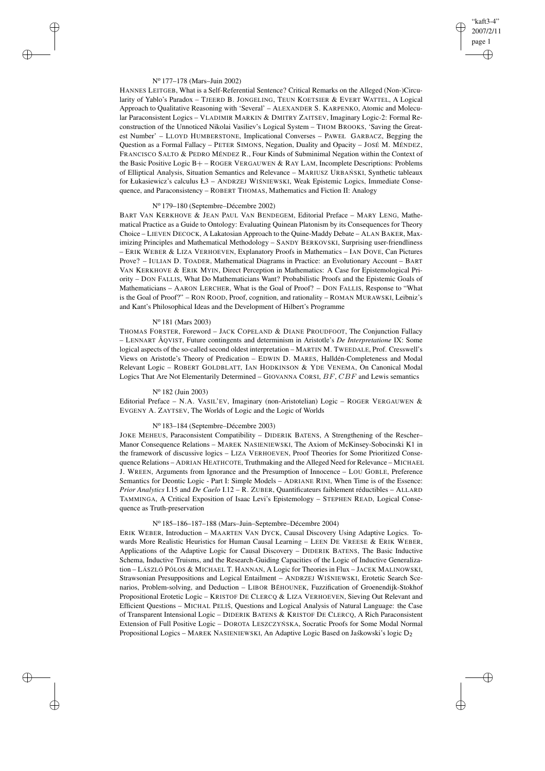## "kaft3-4" 2007/2/11 page 1 ✐ ✐

✐

✐

### N<sup>o</sup> 177–178 (Mars–Juin 2002)

 $\rightarrow$ 

 $\rightarrow$ 

✐

✐

HANNES LEITGEB, What is a Self-Referential Sentence? Critical Remarks on the Alleged (Non-)Circularity of Yablo's Paradox – TJEERD B. JONGELING, TEUN KOETSIER & EVERT WATTEL, A Logical Approach to Qualitative Reasoning with 'Several' – ALEXANDER S. KARPENKO, Atomic and Molecular Paraconsistent Logics – VLADIMIR MARKIN & DMITRY ZAITSEV, Imaginary Logic-2: Formal Reconstruction of the Unnoticed Nikolai Vasiliev's Logical System - THOM BROOKS, 'Saving the Greatest Number' – LLOYD HUMBERSTONE, Implicational Converses – PAWEŁ GARBACZ, Begging the Question as a Formal Fallacy – PETER SIMONS, Negation, Duality and Opacity – JOSÉ M. MÉNDEZ, FRANCISCO SALTO & PEDRO MÉNDEZ R., Four Kinds of Subminimal Negation within the Context of the Basic Positive Logic B+ – ROGER VERGAUWEN & RAY LAM, Incomplete Descriptions: Problems of Elliptical Analysis, Situation Semantics and Relevance - MARIUSZ URBAŃ SKI, Synthetic tableaux for Łukasiewicz's calculus Ł3 – ANDRZEJ WIŚNIEWSKI, Weak Epistemic Logics, Immediate Consequence, and Paraconsistency – ROBERT THOMAS, Mathematics and Fiction II: Analogy

# N<sup>o</sup> 179–180 (Septembre–Décembre 2002)

BART VAN KERKHOVE & JEAN PAUL VAN BENDEGEM, Editorial Preface – MARY LENG, Mathematical Practice as a Guide to Ontology: Evaluating Quinean Platonism by its Consequences for Theory Choice – LIEVEN DECOCK, A Lakatosian Approach to the Quine-Maddy Debate – ALAN BAKER, Maximizing Principles and Mathematical Methodology – SANDY BERKOVSKI, Surprising user-friendliness – ERIK WEBER & LIZA VERHOEVEN, Explanatory Proofs in Mathematics – IAN DOVE, Can Pictures Prove? – IULIAN D. TOADER, Mathematical Diagrams in Practice: an Evolutionary Account – BART VAN KERKHOVE & ERIK MYIN, Direct Perception in Mathematics: A Case for Epistemological Priority – DON FALLIS, What Do Mathematicians Want? Probabilistic Proofs and the Epistemic Goals of Mathematicians – AARON LERCHER, What is the Goal of Proof? – DON FALLIS, Response to "What is the Goal of Proof?" – RON ROOD, Proof, cognition, and rationality – ROMAN MURAWSKI, Leibniz's and Kant's Philosophical Ideas and the Development of Hilbert's Programme

#### N<sup>o</sup> 181 (Mars 2003)

THOMAS FORSTER, Foreword – JACK COPELAND & DIANE PROUDFOOT, The Conjunction Fallacy – LENNART ÅQVIST, Future contingents and determinism in Aristotle's *De Interpretatione* IX: Some logical aspects of the so-called second oldest interpretation – MARTIN M. TWEEDALE, Prof. Cresswell's Views on Aristotle's Theory of Predication – EDWIN D. MARES, Halldén-Completeness and Modal Relevant Logic – ROBERT GOLDBLATT, IAN HODKINSON & YDE VENEMA, On Canonical Modal Logics That Are Not Elementarily Determined – GIOVANNA CORSI,  $BF$ ,  $CBF$  and Lewis semantics

### N<sup>o</sup> 182 (Juin 2003)

Editorial Preface – N.A. VASIL'EV, Imaginary (non-Aristotelian) Logic – ROGER VERGAUWEN & EVGENY A. ZAYTSEV, The Worlds of Logic and the Logic of Worlds

### N<sup>o</sup> 183–184 (Septembre–Décembre 2003)

JOKE MEHEUS, Paraconsistent Compatibility – DIDERIK BATENS, A Strengthening of the Rescher– Manor Consequence Relations – MAREK NASIENIEWSKI, The Axiom of McKinsey-Sobocinski K1 in the framework of discussive logics – LIZA VERHOEVEN, Proof Theories for Some Prioritized Consequence Relations – ADRIAN HEATHCOTE, Truthmaking and the Alleged Need for Relevance – MICHAEL J. WREEN, Arguments from Ignorance and the Presumption of Innocence – LOU GOBLE, Preference Semantics for Deontic Logic - Part I: Simple Models – ADRIANE RINI, When Time is of the Essence: *Prior Analytics* I.15 and *De Caelo* I.12 – R. ZUBER, Quantificateurs faiblement réductibles – ALLARD TAMMINGA, A Critical Exposition of Isaac Levi's Epistemology – STEPHEN READ, Logical Consequence as Truth-preservation

### N<sup>o</sup> 185–186–187–188 (Mars–Juin–Septembre–Décembre 2004)

ERIK WEBER, Introduction – MAARTEN VAN DYCK, Causal Discovery Using Adaptive Logics. Towards More Realistic Heuristics for Human Causal Learning – LEEN DE VREESE & ERIK WEBER, Applications of the Adaptive Logic for Causal Discovery – DIDERIK BATENS, The Basic Inductive Schema, Inductive Truisms, and the Research-Guiding Capacities of the Logic of Inductive Generalization – LÁSZLÓ PÓLOS & MICHAEL T. HANNAN, A Logic for Theories in Flux – JACEK MALINOWSKI, Strawsonian Presuppositions and Logical Entailment - ANDRZEJ WIŚNIEWSKI, Erotetic Search Scenarios, Problem-solving, and Deduction – LIBOR BĚHOUNEK, Fuzzification of Groenendijk-Stokhof Propositional Erotetic Logic – KRISTOF DE CLERCQ & LIZA VERHOEVEN, Sieving Out Relevant and Efficient Questions – MICHAL PELIŠ, Questions and Logical Analysis of Natural Language: the Case of Transparent Intensional Logic – DIDERIK BATENS & KRISTOF DE CLERCQ, A Rich Paraconsistent Extension of Full Positive Logic - DOROTA LESZCZYŃ SKA, Socratic Proofs for Some Modal Normal Propositional Logics – MAREK NASIENIEWSKI, An Adaptive Logic Based on Jaskowski's logic D<sub>2</sub>